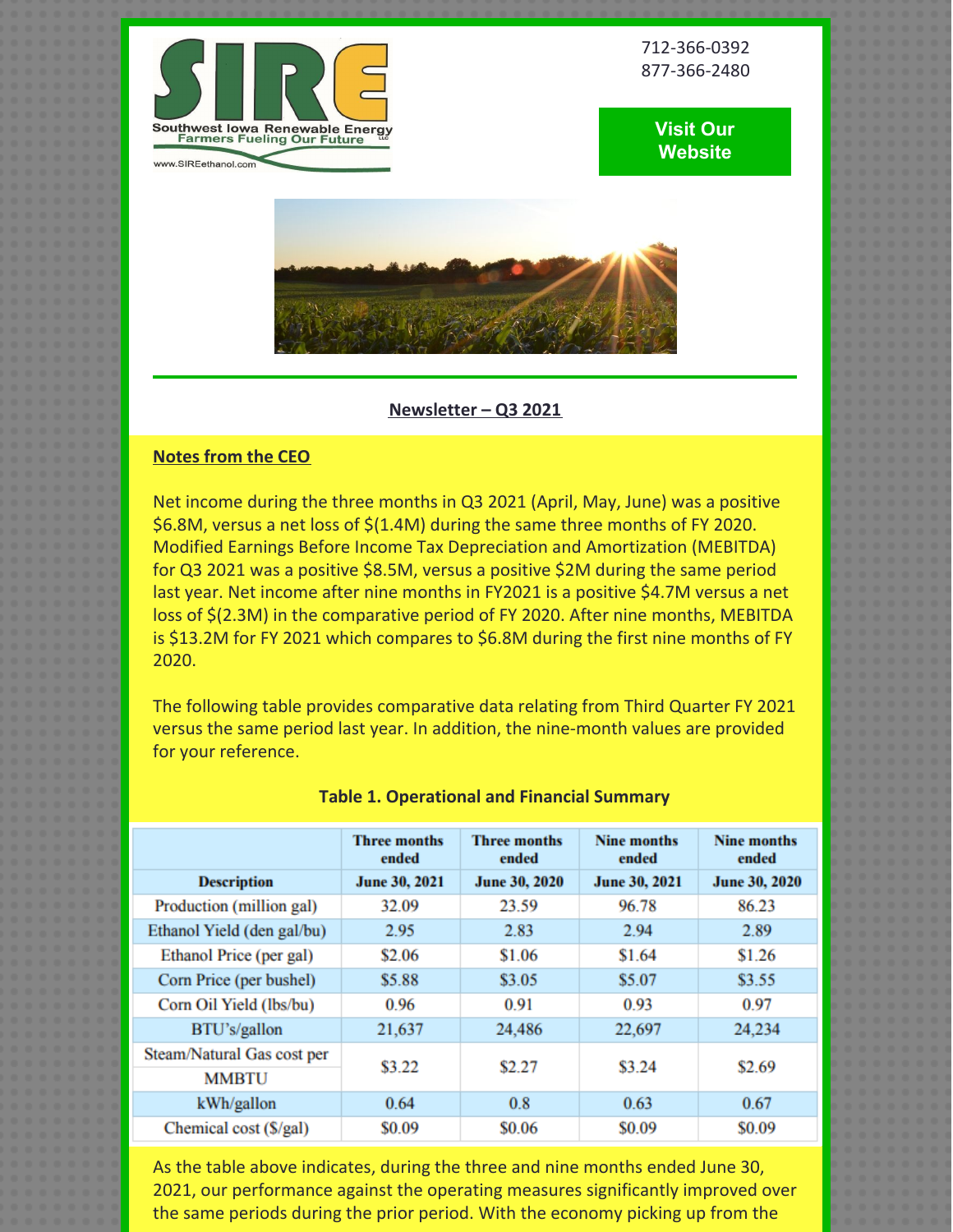

712-366-0392 877-366-2480





### **Newsletter – Q3 2021**

# **Notes from the CEO**

Net income during the three months in Q3 2021 (April, May, June) was a positive \$6.8M, versus a net loss of \$(1.4M) during the same three months of FY 2020. Modified Earnings Before Income Tax Depreciation and Amortization (MEBITDA) for Q3 2021 was a positive \$8.5M, versus a positive \$2M during the same period last year. Net income after nine months in FY2021 is a positive \$4.7M versus a net loss of \$(2.3M) in the comparative period of FY 2020. After nine months, MEBITDA is \$13.2M for FY 2021 which compares to \$6.8M during the first nine months of FY 2020.

The following table provides comparative data relating from Third Quarter FY 2021 versus the same period last year. In addition, the nine-month values are provided for your reference.

|                            | Three months<br>ended | <b>Three months</b><br>ended | Nine months<br>ended | Nine months<br>ended |
|----------------------------|-----------------------|------------------------------|----------------------|----------------------|
| <b>Description</b>         | June 30, 2021         | <b>June 30, 2020</b>         | June 30, 2021        | <b>June 30, 2020</b> |
| Production (million gal)   | 32.09                 | 23.59                        | 96.78                | 86.23                |
| Ethanol Yield (den gal/bu) | 2.95                  | 2.83                         | 2.94                 | 2.89                 |
| Ethanol Price (per gal)    | \$2.06                | \$1.06                       | \$1.64               | \$1.26               |
| Corn Price (per bushel)    | \$5.88                | \$3.05                       | \$5.07               | \$3.55               |
| Corn Oil Yield (lbs/bu)    | 0.96                  | 0.91                         | 0.93                 | 0.97                 |
| BTU's/gallon               | 21,637                | 24,486                       | 22,697               | 24.234               |
| Steam/Natural Gas cost per | \$3.22                | \$2.27                       | \$3.24               | \$2.69               |
| <b>MMBTU</b>               |                       |                              |                      |                      |
| kWh/gallon                 | 0.64                  | 0.8                          | 0.63                 | 0.67                 |
| Chemical cost (\$/gal)     | \$0.09                | \$0.06                       | \$0.09               | \$0.09               |
|                            |                       |                              |                      |                      |

### **Table 1. Operational and Financial Summary**

As the table above indicates, during the three and nine months ended June 30, 2021, our performance against the operating measures significantly improved over the same periods during the prior period. With the economy picking up from the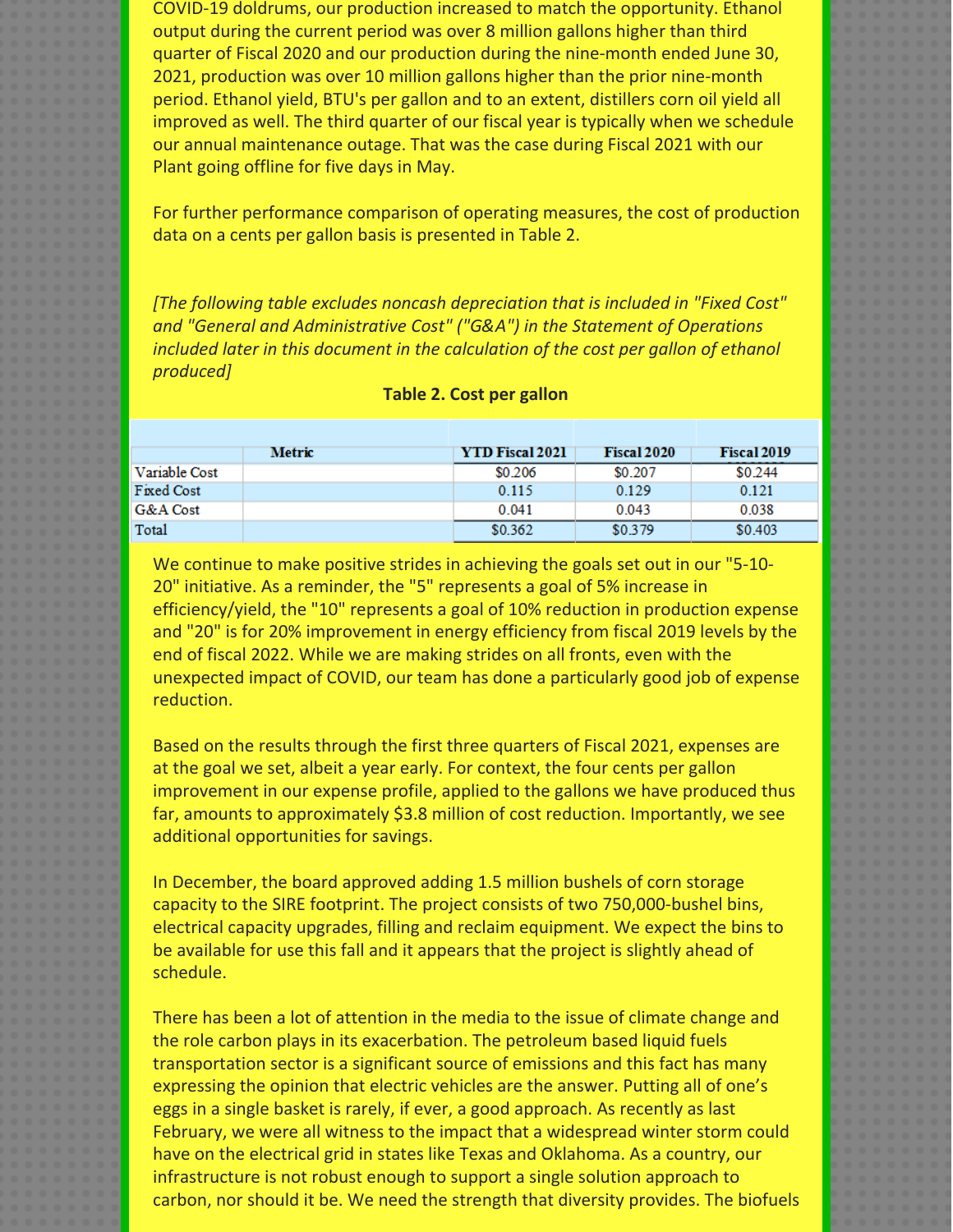COVID-19 doldrums, our production increased to match the opportunity. Ethanol output during the current period was over 8 million gallons higher than third quarter of Fiscal 2020 and our production during the nine-month ended June 30, 2021, production was over 10 million gallons higher than the prior nine-month period. Ethanol yield, BTU's per gallon and to an extent, distillers corn oil yield all improved as well. The third quarter of our fiscal year is typically when we schedule our annual maintenance outage. That was the case during Fiscal 2021 with our Plant going offline for five days in May.

For further performance comparison of operating measures, the cost of production data on a cents per gallon basis is presented in Table 2.

*[The following table excludes noncash depreciation that is included in "Fixed Cost" and "General and Administrative Cost" ("G&A") in the Statement of Operations included later in this document in the calculation of the cost per gallon of ethanol produced]*

|                   | Metric | <b>YTD Fiscal 2021</b> | <b>Fiscal 2020</b> | <b>Fiscal 2019</b> |
|-------------------|--------|------------------------|--------------------|--------------------|
| Variable Cost     |        | \$0.206                | \$0.207            | \$0.244            |
| <b>Fixed Cost</b> |        | 0.115                  | 0.129              | 0.121              |
| G&A Cost          |        | 0.041                  | 0.043              | 0.038              |
| Total             |        | \$0.362                | \$0.379            | \$0.403            |

#### **Table 2. Cost per gallon**

We continue to make positive strides in achieving the goals set out in our "5-10- 20" initiative. As a reminder, the "5" represents a goal of 5% increase in efficiency/yield, the "10" represents a goal of 10% reduction in production expense and "20" is for 20% improvement in energy efficiency from fiscal 2019 levels by the end of fiscal 2022. While we are making strides on all fronts, even with the unexpected impact of COVID, our team has done a particularly good job of expense reduction.

Based on the results through the first three quarters of Fiscal 2021, expenses are at the goal we set, albeit a year early. For context, the four cents per gallon improvement in our expense profile, applied to the gallons we have produced thus far, amounts to approximately \$3.8 million of cost reduction. Importantly, we see additional opportunities for savings.

In December, the board approved adding 1.5 million bushels of corn storage capacity to the SIRE footprint. The project consists of two 750,000-bushel bins, electrical capacity upgrades, filling and reclaim equipment. We expect the bins to be available for use this fall and it appears that the project is slightly ahead of schedule.

There has been a lot of attention in the media to the issue of climate change and the role carbon plays in its exacerbation. The petroleum based liquid fuels transportation sector is a significant source of emissions and this fact has many expressing the opinion that electric vehicles are the answer. Putting all of one's eggs in a single basket is rarely, if ever, a good approach. As recently as last February, we were all witness to the impact that a widespread winter storm could have on the electrical grid in states like Texas and Oklahoma. As a country, our infrastructure is not robust enough to support a single solution approach to carbon, nor should it be. We need the strength that diversity provides. The biofuels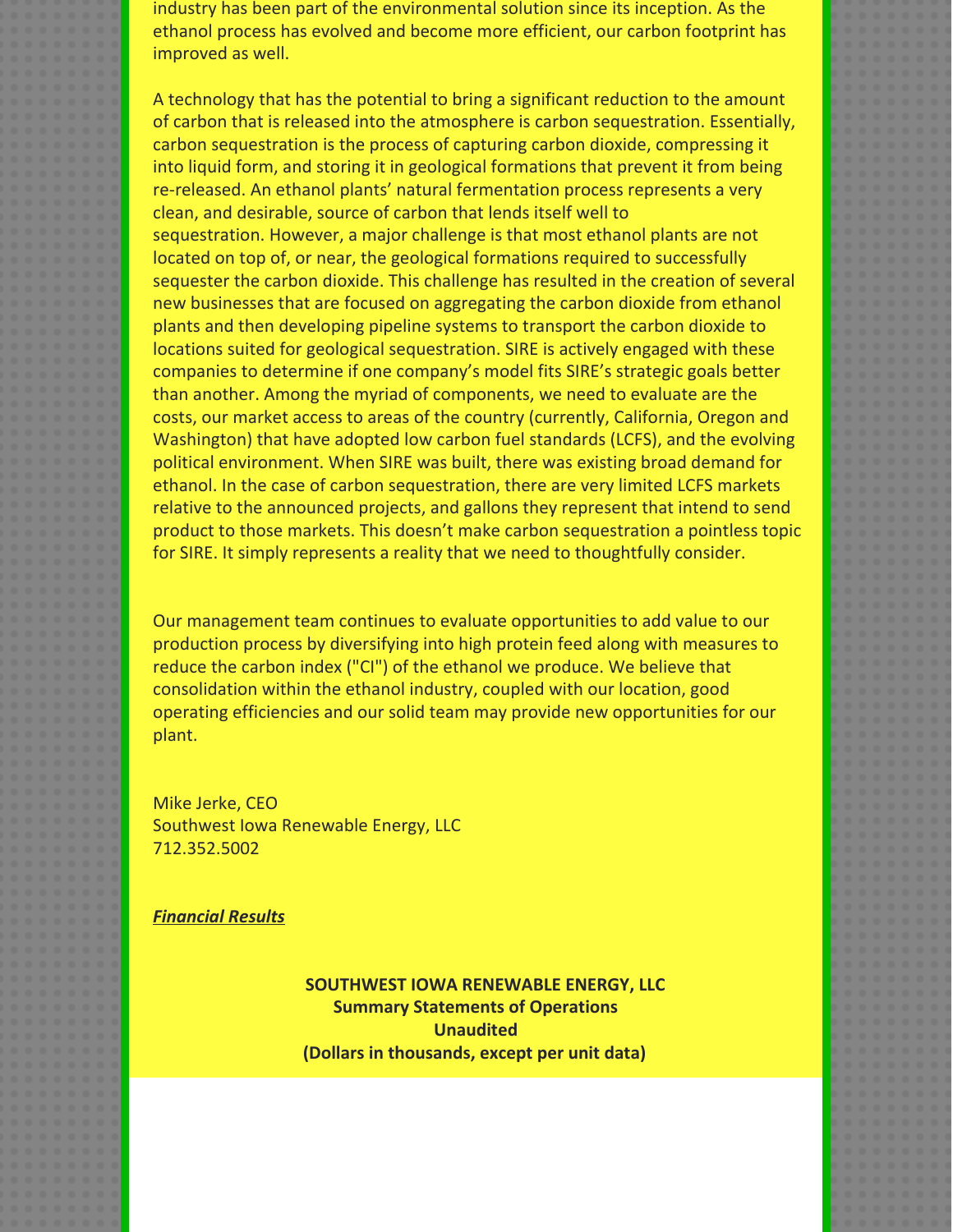industry has been part of the environmental solution since its inception. As the ethanol process has evolved and become more efficient, our carbon footprint has improved as well.

A technology that has the potential to bring a significant reduction to the amount of carbon that is released into the atmosphere is carbon sequestration. Essentially, carbon sequestration is the process of capturing carbon dioxide, compressing it into liquid form, and storing it in geological formations that prevent it from being re-released. An ethanol plants' natural fermentation process represents a very clean, and desirable, source of carbon that lends itself well to sequestration. However, a major challenge is that most ethanol plants are not located on top of, or near, the geological formations required to successfully sequester the carbon dioxide. This challenge has resulted in the creation of several new businesses that are focused on aggregating the carbon dioxide from ethanol plants and then developing pipeline systems to transport the carbon dioxide to locations suited for geological sequestration. SIRE is actively engaged with these companies to determine if one company's model fits SIRE's strategic goals better than another. Among the myriad of components, we need to evaluate are the costs, our market access to areas of the country (currently, California, Oregon and Washington) that have adopted low carbon fuel standards (LCFS), and the evolving political environment. When SIRE was built, there was existing broad demand for ethanol. In the case of carbon sequestration, there are very limited LCFS markets relative to the announced projects, and gallons they represent that intend to send product to those markets. This doesn't make carbon sequestration a pointless topic for SIRE. It simply represents a reality that we need to thoughtfully consider.

Our management team continues to evaluate opportunities to add value to our production process by diversifying into high protein feed along with measures to reduce the carbon index ("CI") of the ethanol we produce. We believe that consolidation within the ethanol industry, coupled with our location, good operating efficiencies and our solid team may provide new opportunities for our plant.

Mike Jerke, CEO Southwest Iowa Renewable Energy, LLC 712.352.5002

*Financial Results*

**SOUTHWEST IOWA RENEWABLE ENERGY, LLC Summary Statements of Operations Unaudited (Dollars in thousands, except per unit data)**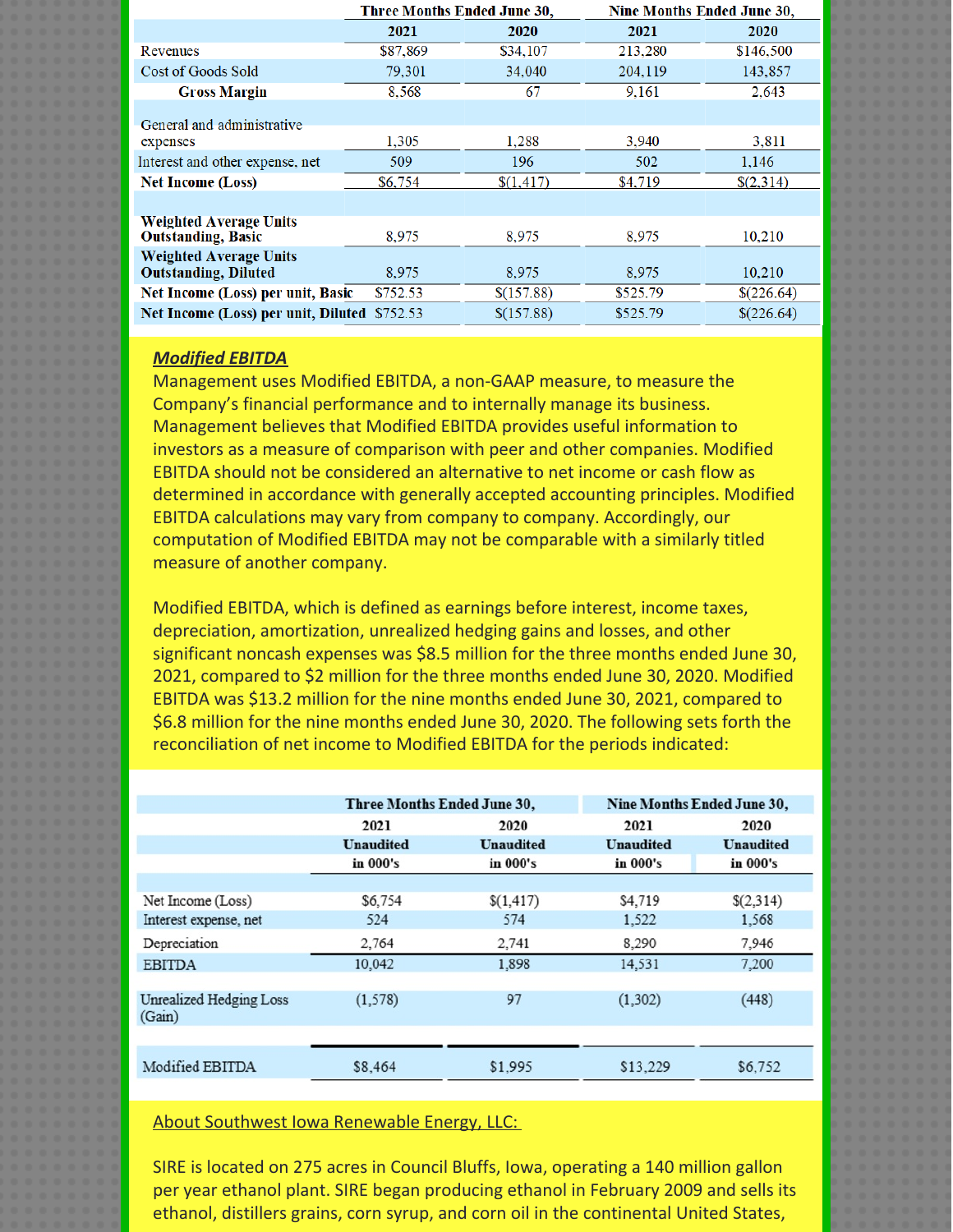|                                                              | <b>Three Months Ended June 30,</b> |            | <b>Nine Months Ended June 30,</b> |            |
|--------------------------------------------------------------|------------------------------------|------------|-----------------------------------|------------|
|                                                              | 2021                               | 2020       | 2021                              | 2020       |
| Revenues                                                     | \$87,869                           | \$34,107   | 213,280                           | \$146,500  |
| Cost of Goods Sold                                           | 79,301                             | 34,040     | 204,119                           | 143,857    |
| <b>Gross Margin</b>                                          | 8.568                              | 67         | 9.161                             | 2,643      |
| General and administrative                                   |                                    |            |                                   |            |
| expenses                                                     | 1,305                              | 1.288      | 3.940                             | 3.811      |
| Interest and other expense, net                              | 509                                | 196        | 502                               | 1.146      |
| <b>Net Income (Loss)</b>                                     | \$6,754                            | \$(1,417)  | \$4,719                           | \$(2,314)  |
|                                                              |                                    |            |                                   |            |
| <b>Weighted Average Units</b><br><b>Outstanding, Basic</b>   | 8.975                              | 8.975      | 8.975                             | 10.210     |
| <b>Weighted Average Units</b><br><b>Outstanding, Diluted</b> | 8,975                              | 8,975      | 8,975                             | 10,210     |
| Net Income (Loss) per unit, Basic                            | \$752.53                           | \$(157.88) | \$525.79                          | \$(226.64) |
| Net Income (Loss) per unit, Diluted                          | \$752.53                           | \$(157.88) | \$525.79                          | \$(226.64) |
|                                                              |                                    |            |                                   |            |

# *Modified EBITDA*

Management uses Modified EBITDA, a non-GAAP measure, to measure the Company's financial performance and to internally manage its business. Management believes that Modified EBITDA provides useful information to investors as a measure of comparison with peer and other companies. Modified EBITDA should not be considered an alternative to net income or cash flow as determined in accordance with generally accepted accounting principles. Modified EBITDA calculations may vary from company to company. Accordingly, our computation of Modified EBITDA may not be comparable with a similarly titled measure of another company.

Modified EBITDA, which is defined as earnings before interest, income taxes, depreciation, amortization, unrealized hedging gains and losses, and other significant noncash expenses was \$8.5 million for the three months ended June 30, 2021, compared to \$2 million for the three months ended June 30, 2020. Modified EBITDA was \$13.2 million for the nine months ended June 30, 2021, compared to \$6.8 million for the nine months ended June 30, 2020. The following sets forth the reconciliation of net income to Modified EBITDA for the periods indicated:

|                                   | Three Months Ended June 30, |                  | Nine Months Ended June 30, |                  |
|-----------------------------------|-----------------------------|------------------|----------------------------|------------------|
|                                   | 2021                        | 2020             | 2021                       | 2020             |
|                                   | <b>Unaudited</b>            | <b>Unaudited</b> | <b>Unaudited</b>           | <b>Unaudited</b> |
|                                   | in 000's                    | in 000's         | in 000's                   | in 000's         |
|                                   |                             |                  |                            |                  |
| Net Income (Loss)                 | \$6,754                     | \$(1,417)        | \$4,719                    | \$(2,314)        |
| Interest expense, net             | 524                         | 574              | 1,522                      | 1,568            |
| Depreciation                      | 2.764                       | 2,741            | 8,290                      | 7,946            |
| <b>EBITDA</b>                     | 10,042                      | 1.898            | 14,531                     | 7.200            |
|                                   |                             |                  |                            |                  |
| Unrealized Hedging Loss<br>(Gain) | (1, 578)                    | 97               | (1, 302)                   | (448)            |
|                                   |                             |                  |                            |                  |
| Modified EBITDA                   | \$8,464                     | \$1,995          | \$13,229                   | \$6,752          |

About Southwest Iowa Renewable Energy, LLC:

SIRE is located on 275 acres in Council Bluffs, Iowa, operating a 140 million gallon per year ethanol plant. SIRE began producing ethanol in February 2009 and sells its ethanol, distillers grains, corn syrup, and corn oil in the continental United States,